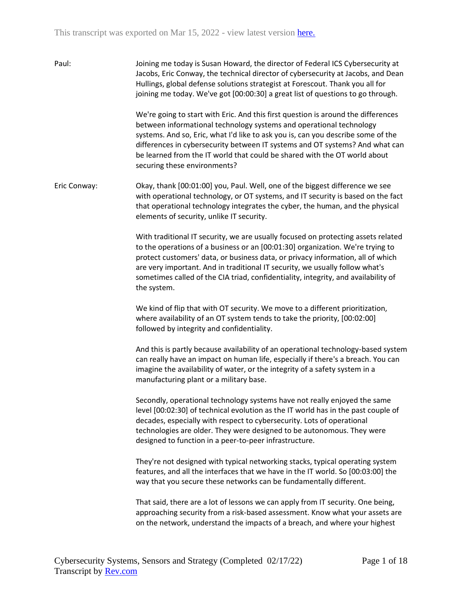| Paul:        | Joining me today is Susan Howard, the director of Federal ICS Cybersecurity at<br>Jacobs, Eric Conway, the technical director of cybersecurity at Jacobs, and Dean<br>Hullings, global defense solutions strategist at Forescout. Thank you all for<br>joining me today. We've got [00:00:30] a great list of questions to go through.<br>We're going to start with Eric. And this first question is around the differences                 |
|--------------|---------------------------------------------------------------------------------------------------------------------------------------------------------------------------------------------------------------------------------------------------------------------------------------------------------------------------------------------------------------------------------------------------------------------------------------------|
|              | between informational technology systems and operational technology<br>systems. And so, Eric, what I'd like to ask you is, can you describe some of the<br>differences in cybersecurity between IT systems and OT systems? And what can<br>be learned from the IT world that could be shared with the OT world about<br>securing these environments?                                                                                        |
| Eric Conway: | Okay, thank [00:01:00] you, Paul. Well, one of the biggest difference we see<br>with operational technology, or OT systems, and IT security is based on the fact<br>that operational technology integrates the cyber, the human, and the physical<br>elements of security, unlike IT security.                                                                                                                                              |
|              | With traditional IT security, we are usually focused on protecting assets related<br>to the operations of a business or an [00:01:30] organization. We're trying to<br>protect customers' data, or business data, or privacy information, all of which<br>are very important. And in traditional IT security, we usually follow what's<br>sometimes called of the CIA triad, confidentiality, integrity, and availability of<br>the system. |
|              | We kind of flip that with OT security. We move to a different prioritization,<br>where availability of an OT system tends to take the priority, [00:02:00]<br>followed by integrity and confidentiality.                                                                                                                                                                                                                                    |
|              | And this is partly because availability of an operational technology-based system<br>can really have an impact on human life, especially if there's a breach. You can<br>imagine the availability of water, or the integrity of a safety system in a<br>manufacturing plant or a military base.                                                                                                                                             |
|              | Secondly, operational technology systems have not really enjoyed the same<br>level [00:02:30] of technical evolution as the IT world has in the past couple of<br>decades, especially with respect to cybersecurity. Lots of operational<br>technologies are older. They were designed to be autonomous. They were<br>designed to function in a peer-to-peer infrastructure.                                                                |
|              | They're not designed with typical networking stacks, typical operating system<br>features, and all the interfaces that we have in the IT world. So [00:03:00] the<br>way that you secure these networks can be fundamentally different.                                                                                                                                                                                                     |
|              | That said, there are a lot of lessons we can apply from IT security. One being,<br>approaching security from a risk-based assessment. Know what your assets are<br>on the network, understand the impacts of a breach, and where your highest                                                                                                                                                                                               |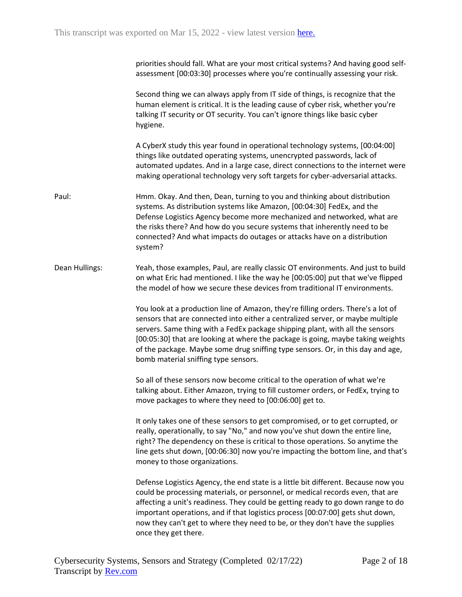priorities should fall. What are your most critical systems? And having good selfassessment [00:03:30] processes where you're continually assessing your risk.

Second thing we can always apply from IT side of things, is recognize that the human element is critical. It is the leading cause of cyber risk, whether you're talking IT security or OT security. You can't ignore things like basic cyber hygiene.

A CyberX study this year found in operational technology systems, [00:04:00] things like outdated operating systems, unencrypted passwords, lack of automated updates. And in a large case, direct connections to the internet were making operational technology very soft targets for cyber-adversarial attacks.

- Paul: Hmm. Okay. And then, Dean, turning to you and thinking about distribution systems. As distribution systems like Amazon, [00:04:30] FedEx, and the Defense Logistics Agency become more mechanized and networked, what are the risks there? And how do you secure systems that inherently need to be connected? And what impacts do outages or attacks have on a distribution system?
- Dean Hullings: Yeah, those examples, Paul, are really classic OT environments. And just to build on what Eric had mentioned. I like the way he [00:05:00] put that we've flipped the model of how we secure these devices from traditional IT environments.

You look at a production line of Amazon, they're filling orders. There's a lot of sensors that are connected into either a centralized server, or maybe multiple servers. Same thing with a FedEx package shipping plant, with all the sensors [00:05:30] that are looking at where the package is going, maybe taking weights of the package. Maybe some drug sniffing type sensors. Or, in this day and age, bomb material sniffing type sensors.

So all of these sensors now become critical to the operation of what we're talking about. Either Amazon, trying to fill customer orders, or FedEx, trying to move packages to where they need to [00:06:00] get to.

It only takes one of these sensors to get compromised, or to get corrupted, or really, operationally, to say "No," and now you've shut down the entire line, right? The dependency on these is critical to those operations. So anytime the line gets shut down, [00:06:30] now you're impacting the bottom line, and that's money to those organizations.

Defense Logistics Agency, the end state is a little bit different. Because now you could be processing materials, or personnel, or medical records even, that are affecting a unit's readiness. They could be getting ready to go down range to do important operations, and if that logistics process [00:07:00] gets shut down, now they can't get to where they need to be, or they don't have the supplies once they get there.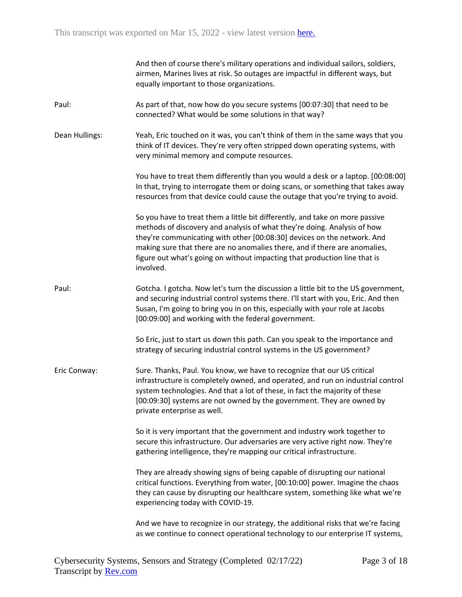|                | And then of course there's military operations and individual sailors, soldiers,<br>airmen, Marines lives at risk. So outages are impactful in different ways, but<br>equally important to those organizations.                                                                                                                                                                                             |
|----------------|-------------------------------------------------------------------------------------------------------------------------------------------------------------------------------------------------------------------------------------------------------------------------------------------------------------------------------------------------------------------------------------------------------------|
| Paul:          | As part of that, now how do you secure systems [00:07:30] that need to be<br>connected? What would be some solutions in that way?                                                                                                                                                                                                                                                                           |
| Dean Hullings: | Yeah, Eric touched on it was, you can't think of them in the same ways that you<br>think of IT devices. They're very often stripped down operating systems, with<br>very minimal memory and compute resources.                                                                                                                                                                                              |
|                | You have to treat them differently than you would a desk or a laptop. [00:08:00]<br>In that, trying to interrogate them or doing scans, or something that takes away<br>resources from that device could cause the outage that you're trying to avoid.                                                                                                                                                      |
|                | So you have to treat them a little bit differently, and take on more passive<br>methods of discovery and analysis of what they're doing. Analysis of how<br>they're communicating with other [00:08:30] devices on the network. And<br>making sure that there are no anomalies there, and if there are anomalies,<br>figure out what's going on without impacting that production line that is<br>involved. |
| Paul:          | Gotcha. I gotcha. Now let's turn the discussion a little bit to the US government,<br>and securing industrial control systems there. I'll start with you, Eric. And then<br>Susan, I'm going to bring you in on this, especially with your role at Jacobs<br>[00:09:00] and working with the federal government.                                                                                            |
|                | So Eric, just to start us down this path. Can you speak to the importance and<br>strategy of securing industrial control systems in the US government?                                                                                                                                                                                                                                                      |
| Eric Conway:   | Sure. Thanks, Paul. You know, we have to recognize that our US critical<br>infrastructure is completely owned, and operated, and run on industrial control<br>system technologies. And that a lot of these, in fact the majority of these<br>[00:09:30] systems are not owned by the government. They are owned by<br>private enterprise as well.                                                           |
|                | So it is very important that the government and industry work together to<br>secure this infrastructure. Our adversaries are very active right now. They're<br>gathering intelligence, they're mapping our critical infrastructure.                                                                                                                                                                         |
|                | They are already showing signs of being capable of disrupting our national<br>critical functions. Everything from water, [00:10:00] power. Imagine the chaos<br>they can cause by disrupting our healthcare system, something like what we're<br>experiencing today with COVID-19.                                                                                                                          |
|                | And we have to recognize in our strategy, the additional risks that we're facing<br>as we continue to connect operational technology to our enterprise IT systems,                                                                                                                                                                                                                                          |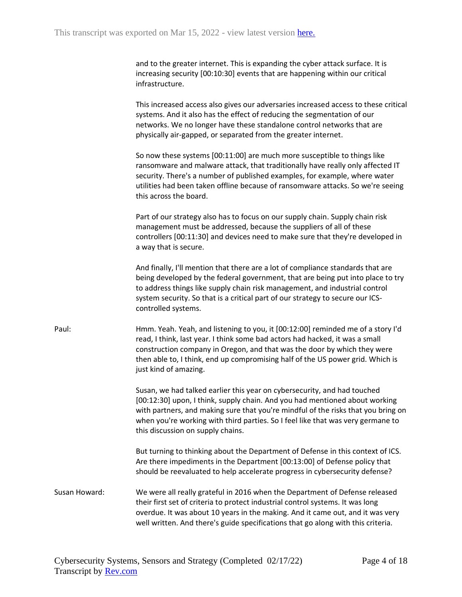and to the greater internet. This is expanding the cyber attack surface. It is increasing security [00:10:30] events that are happening within our critical infrastructure.

This increased access also gives our adversaries increased access to these critical systems. And it also has the effect of reducing the segmentation of our networks. We no longer have these standalone control networks that are physically air-gapped, or separated from the greater internet.

So now these systems [00:11:00] are much more susceptible to things like ransomware and malware attack, that traditionally have really only affected IT security. There's a number of published examples, for example, where water utilities had been taken offline because of ransomware attacks. So we're seeing this across the board.

Part of our strategy also has to focus on our supply chain. Supply chain risk management must be addressed, because the suppliers of all of these controllers [00:11:30] and devices need to make sure that they're developed in a way that is secure.

And finally, I'll mention that there are a lot of compliance standards that are being developed by the federal government, that are being put into place to try to address things like supply chain risk management, and industrial control system security. So that is a critical part of our strategy to secure our ICScontrolled systems.

Paul: Hmm. Yeah. Yeah, and listening to you, it [00:12:00] reminded me of a story I'd read, I think, last year. I think some bad actors had hacked, it was a small construction company in Oregon, and that was the door by which they were then able to, I think, end up compromising half of the US power grid. Which is just kind of amazing.

> Susan, we had talked earlier this year on cybersecurity, and had touched [00:12:30] upon, I think, supply chain. And you had mentioned about working with partners, and making sure that you're mindful of the risks that you bring on when you're working with third parties. So I feel like that was very germane to this discussion on supply chains.

But turning to thinking about the Department of Defense in this context of ICS. Are there impediments in the Department [00:13:00] of Defense policy that should be reevaluated to help accelerate progress in cybersecurity defense?

Susan Howard: We were all really grateful in 2016 when the Department of Defense released their first set of criteria to protect industrial control systems. It was long overdue. It was about 10 years in the making. And it came out, and it was very well written. And there's guide specifications that go along with this criteria.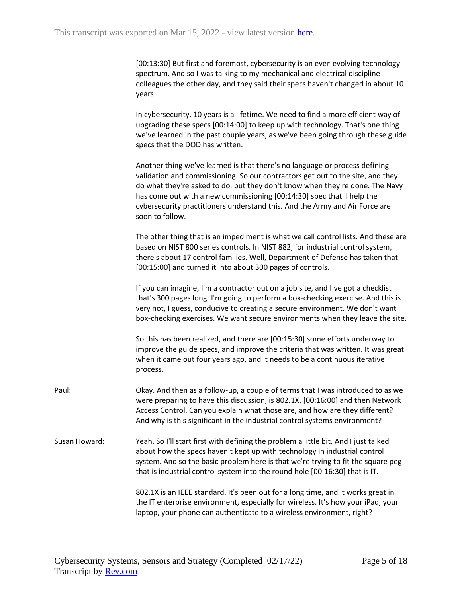| [00:13:30] But first and foremost, cybersecurity is an ever-evolving technology |
|---------------------------------------------------------------------------------|
| spectrum. And so I was talking to my mechanical and electrical discipline       |
| colleagues the other day, and they said their specs haven't changed in about 10 |
| years.                                                                          |

In cybersecurity, 10 years is a lifetime. We need to find a more efficient way of upgrading these specs [00:14:00] to keep up with technology. That's one thing we've learned in the past couple years, as we've been going through these guide specs that the DOD has written.

Another thing we've learned is that there's no language or process defining validation and commissioning. So our contractors get out to the site, and they do what they're asked to do, but they don't know when they're done. The Navy has come out with a new commissioning [00:14:30] spec that'll help the cybersecurity practitioners understand this. And the Army and Air Force are soon to follow.

The other thing that is an impediment is what we call control lists. And these are based on NIST 800 series controls. In NIST 882, for industrial control system, there's about 17 control families. Well, Department of Defense has taken that [00:15:00] and turned it into about 300 pages of controls.

If you can imagine, I'm a contractor out on a job site, and I've got a checklist that's 300 pages long. I'm going to perform a box-checking exercise. And this is very not, I guess, conducive to creating a secure environment. We don't want box-checking exercises. We want secure environments when they leave the site.

So this has been realized, and there are [00:15:30] some efforts underway to improve the guide specs, and improve the criteria that was written. It was great when it came out four years ago, and it needs to be a continuous iterative process.

Paul: Okay. And then as a follow-up, a couple of terms that I was introduced to as we were preparing to have this discussion, is 802.1X, [00:16:00] and then Network Access Control. Can you explain what those are, and how are they different? And why is this significant in the industrial control systems environment?

Susan Howard: Yeah. So I'll start first with defining the problem a little bit. And I just talked about how the specs haven't kept up with technology in industrial control system. And so the basic problem here is that we're trying to fit the square peg that is industrial control system into the round hole [00:16:30] that is IT.

> 802.1X is an IEEE standard. It's been out for a long time, and it works great in the IT enterprise environment, especially for wireless. It's how your iPad, your laptop, your phone can authenticate to a wireless environment, right?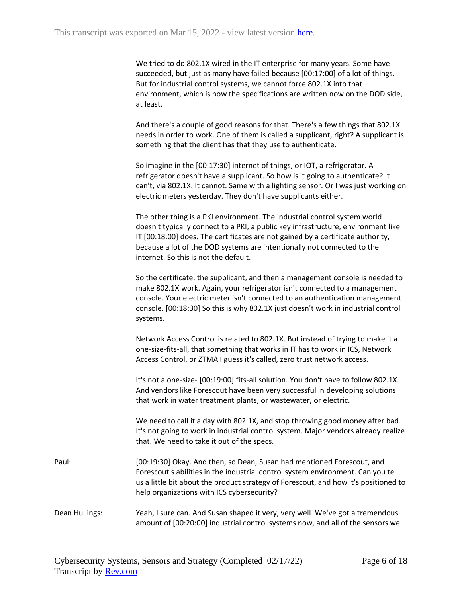We tried to do 802.1X wired in the IT enterprise for many years. Some have succeeded, but just as many have failed because [00:17:00] of a lot of things. But for industrial control systems, we cannot force 802.1X into that environment, which is how the specifications are written now on the DOD side, at least.

And there's a couple of good reasons for that. There's a few things that 802.1X needs in order to work. One of them is called a supplicant, right? A supplicant is something that the client has that they use to authenticate.

So imagine in the [00:17:30] internet of things, or IOT, a refrigerator. A refrigerator doesn't have a supplicant. So how is it going to authenticate? It can't, via 802.1X. It cannot. Same with a lighting sensor. Or I was just working on electric meters yesterday. They don't have supplicants either.

The other thing is a PKI environment. The industrial control system world doesn't typically connect to a PKI, a public key infrastructure, environment like IT [00:18:00] does. The certificates are not gained by a certificate authority, because a lot of the DOD systems are intentionally not connected to the internet. So this is not the default.

So the certificate, the supplicant, and then a management console is needed to make 802.1X work. Again, your refrigerator isn't connected to a management console. Your electric meter isn't connected to an authentication management console. [00:18:30] So this is why 802.1X just doesn't work in industrial control systems.

Network Access Control is related to 802.1X. But instead of trying to make it a one-size-fits-all, that something that works in IT has to work in ICS, Network Access Control, or ZTMA I guess it's called, zero trust network access.

It's not a one-size- [00:19:00] fits-all solution. You don't have to follow 802.1X. And vendors like Forescout have been very successful in developing solutions that work in water treatment plants, or wastewater, or electric.

We need to call it a day with 802.1X, and stop throwing good money after bad. It's not going to work in industrial control system. Major vendors already realize that. We need to take it out of the specs.

Paul: [00:19:30] Okay. And then, so Dean, Susan had mentioned Forescout, and Forescout's abilities in the industrial control system environment. Can you tell us a little bit about the product strategy of Forescout, and how it's positioned to help organizations with ICS cybersecurity?

## Dean Hullings: Yeah, I sure can. And Susan shaped it very, very well. We've got a tremendous amount of [00:20:00] industrial control systems now, and all of the sensors we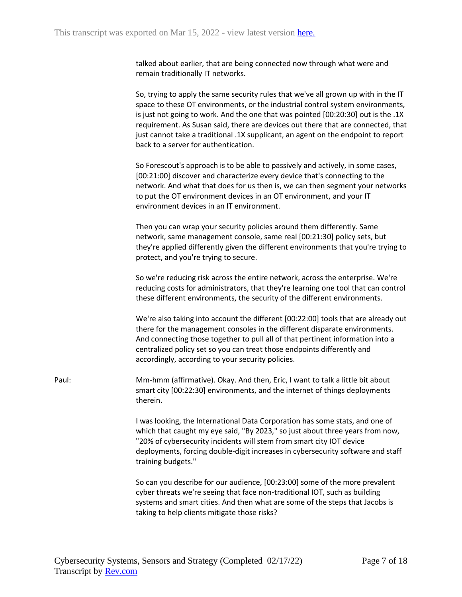talked about earlier, that are being connected now through what were and remain traditionally IT networks.

So, trying to apply the same security rules that we've all grown up with in the IT space to these OT environments, or the industrial control system environments, is just not going to work. And the one that was pointed [00:20:30] out is the .1X requirement. As Susan said, there are devices out there that are connected, that just cannot take a traditional .1X supplicant, an agent on the endpoint to report back to a server for authentication.

So Forescout's approach is to be able to passively and actively, in some cases, [00:21:00] discover and characterize every device that's connecting to the network. And what that does for us then is, we can then segment your networks to put the OT environment devices in an OT environment, and your IT environment devices in an IT environment.

Then you can wrap your security policies around them differently. Same network, same management console, same real [00:21:30] policy sets, but they're applied differently given the different environments that you're trying to protect, and you're trying to secure.

So we're reducing risk across the entire network, across the enterprise. We're reducing costs for administrators, that they're learning one tool that can control these different environments, the security of the different environments.

We're also taking into account the different [00:22:00] tools that are already out there for the management consoles in the different disparate environments. And connecting those together to pull all of that pertinent information into a centralized policy set so you can treat those endpoints differently and accordingly, according to your security policies.

Paul: Mm-hmm (affirmative). Okay. And then, Eric, I want to talk a little bit about smart city [00:22:30] environments, and the internet of things deployments therein.

> I was looking, the International Data Corporation has some stats, and one of which that caught my eye said, "By 2023," so just about three years from now, "20% of cybersecurity incidents will stem from smart city IOT device deployments, forcing double-digit increases in cybersecurity software and staff training budgets."

So can you describe for our audience, [00:23:00] some of the more prevalent cyber threats we're seeing that face non-traditional IOT, such as building systems and smart cities. And then what are some of the steps that Jacobs is taking to help clients mitigate those risks?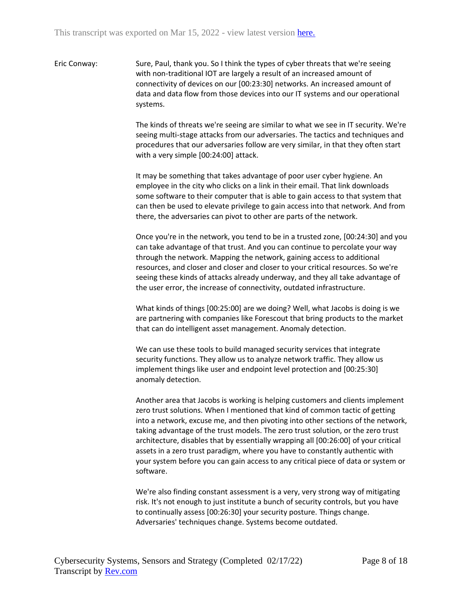Eric Conway: Sure, Paul, thank you. So I think the types of cyber threats that we're seeing with non-traditional IOT are largely a result of an increased amount of connectivity of devices on our [00:23:30] networks. An increased amount of data and data flow from those devices into our IT systems and our operational systems.

> The kinds of threats we're seeing are similar to what we see in IT security. We're seeing multi-stage attacks from our adversaries. The tactics and techniques and procedures that our adversaries follow are very similar, in that they often start with a very simple [00:24:00] attack.

> It may be something that takes advantage of poor user cyber hygiene. An employee in the city who clicks on a link in their email. That link downloads some software to their computer that is able to gain access to that system that can then be used to elevate privilege to gain access into that network. And from there, the adversaries can pivot to other are parts of the network.

> Once you're in the network, you tend to be in a trusted zone, [00:24:30] and you can take advantage of that trust. And you can continue to percolate your way through the network. Mapping the network, gaining access to additional resources, and closer and closer and closer to your critical resources. So we're seeing these kinds of attacks already underway, and they all take advantage of the user error, the increase of connectivity, outdated infrastructure.

What kinds of things [00:25:00] are we doing? Well, what Jacobs is doing is we are partnering with companies like Forescout that bring products to the market that can do intelligent asset management. Anomaly detection.

We can use these tools to build managed security services that integrate security functions. They allow us to analyze network traffic. They allow us implement things like user and endpoint level protection and [00:25:30] anomaly detection.

Another area that Jacobs is working is helping customers and clients implement zero trust solutions. When I mentioned that kind of common tactic of getting into a network, excuse me, and then pivoting into other sections of the network, taking advantage of the trust models. The zero trust solution, or the zero trust architecture, disables that by essentially wrapping all [00:26:00] of your critical assets in a zero trust paradigm, where you have to constantly authentic with your system before you can gain access to any critical piece of data or system or software.

We're also finding constant assessment is a very, very strong way of mitigating risk. It's not enough to just institute a bunch of security controls, but you have to continually assess [00:26:30] your security posture. Things change. Adversaries' techniques change. Systems become outdated.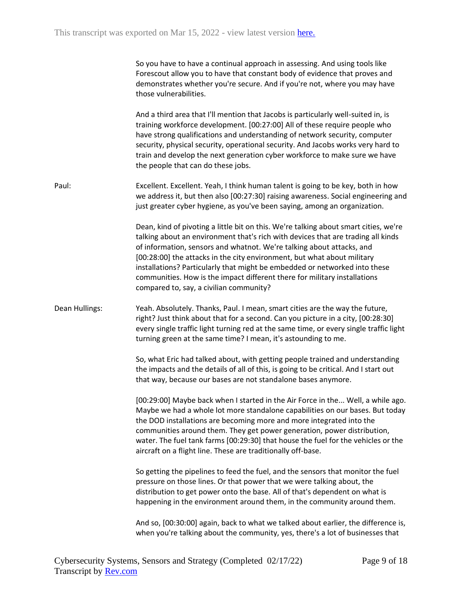| So you have to have a continual approach in assessing. And using tools like |
|-----------------------------------------------------------------------------|
| Forescout allow you to have that constant body of evidence that proves and  |
| demonstrates whether you're secure. And if you're not, where you may have   |
| those vulnerabilities.                                                      |

And a third area that I'll mention that Jacobs is particularly well-suited in, is training workforce development. [00:27:00] All of these require people who have strong qualifications and understanding of network security, computer security, physical security, operational security. And Jacobs works very hard to train and develop the next generation cyber workforce to make sure we have the people that can do these jobs.

Paul: Excellent. Excellent. Yeah, I think human talent is going to be key, both in how we address it, but then also [00:27:30] raising awareness. Social engineering and just greater cyber hygiene, as you've been saying, among an organization.

> Dean, kind of pivoting a little bit on this. We're talking about smart cities, we're talking about an environment that's rich with devices that are trading all kinds of information, sensors and whatnot. We're talking about attacks, and [00:28:00] the attacks in the city environment, but what about military installations? Particularly that might be embedded or networked into these communities. How is the impact different there for military installations compared to, say, a civilian community?

## Dean Hullings: Yeah. Absolutely. Thanks, Paul. I mean, smart cities are the way the future, right? Just think about that for a second. Can you picture in a city, [00:28:30] every single traffic light turning red at the same time, or every single traffic light turning green at the same time? I mean, it's astounding to me.

So, what Eric had talked about, with getting people trained and understanding the impacts and the details of all of this, is going to be critical. And I start out that way, because our bases are not standalone bases anymore.

[00:29:00] Maybe back when I started in the Air Force in the... Well, a while ago. Maybe we had a whole lot more standalone capabilities on our bases. But today the DOD installations are becoming more and more integrated into the communities around them. They get power generation, power distribution, water. The fuel tank farms [00:29:30] that house the fuel for the vehicles or the aircraft on a flight line. These are traditionally off-base.

So getting the pipelines to feed the fuel, and the sensors that monitor the fuel pressure on those lines. Or that power that we were talking about, the distribution to get power onto the base. All of that's dependent on what is happening in the environment around them, in the community around them.

And so, [00:30:00] again, back to what we talked about earlier, the difference is, when you're talking about the community, yes, there's a lot of businesses that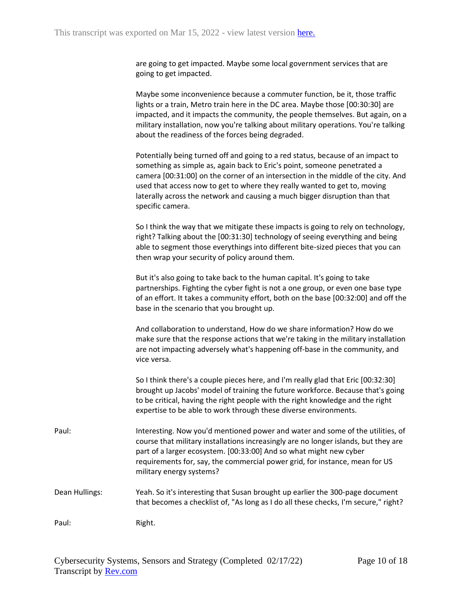are going to get impacted. Maybe some local government services that are going to get impacted.

Maybe some inconvenience because a commuter function, be it, those traffic lights or a train, Metro train here in the DC area. Maybe those [00:30:30] are impacted, and it impacts the community, the people themselves. But again, on a military installation, now you're talking about military operations. You're talking about the readiness of the forces being degraded.

Potentially being turned off and going to a red status, because of an impact to something as simple as, again back to Eric's point, someone penetrated a camera [00:31:00] on the corner of an intersection in the middle of the city. And used that access now to get to where they really wanted to get to, moving laterally across the network and causing a much bigger disruption than that specific camera.

So I think the way that we mitigate these impacts is going to rely on technology, right? Talking about the [00:31:30] technology of seeing everything and being able to segment those everythings into different bite-sized pieces that you can then wrap your security of policy around them.

But it's also going to take back to the human capital. It's going to take partnerships. Fighting the cyber fight is not a one group, or even one base type of an effort. It takes a community effort, both on the base [00:32:00] and off the base in the scenario that you brought up.

And collaboration to understand, How do we share information? How do we make sure that the response actions that we're taking in the military installation are not impacting adversely what's happening off-base in the community, and vice versa.

So I think there's a couple pieces here, and I'm really glad that Eric [00:32:30] brought up Jacobs' model of training the future workforce. Because that's going to be critical, having the right people with the right knowledge and the right expertise to be able to work through these diverse environments.

- Paul: Interesting. Now you'd mentioned power and water and some of the utilities, of course that military installations increasingly are no longer islands, but they are part of a larger ecosystem. [00:33:00] And so what might new cyber requirements for, say, the commercial power grid, for instance, mean for US military energy systems?
- Dean Hullings: Yeah. So it's interesting that Susan brought up earlier the 300-page document that becomes a checklist of, "As long as I do all these checks, I'm secure," right?

Paul: Right.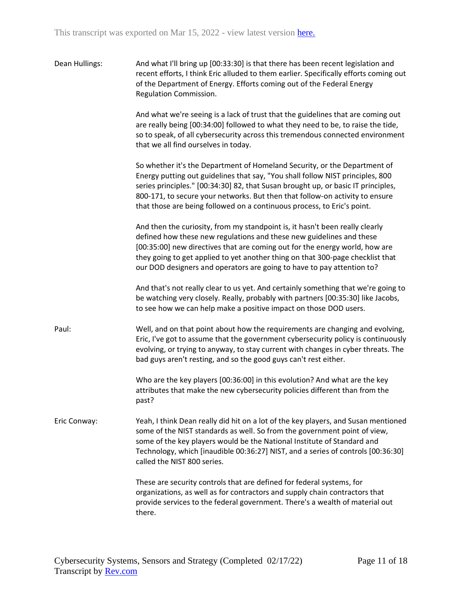| Dean Hullings: | And what I'll bring up [00:33:30] is that there has been recent legislation and<br>recent efforts, I think Eric alluded to them earlier. Specifically efforts coming out<br>of the Department of Energy. Efforts coming out of the Federal Energy<br>Regulation Commission.                                                                                                                                 |
|----------------|-------------------------------------------------------------------------------------------------------------------------------------------------------------------------------------------------------------------------------------------------------------------------------------------------------------------------------------------------------------------------------------------------------------|
|                | And what we're seeing is a lack of trust that the guidelines that are coming out<br>are really being [00:34:00] followed to what they need to be, to raise the tide,<br>so to speak, of all cybersecurity across this tremendous connected environment<br>that we all find ourselves in today.                                                                                                              |
|                | So whether it's the Department of Homeland Security, or the Department of<br>Energy putting out guidelines that say, "You shall follow NIST principles, 800<br>series principles." [00:34:30] 82, that Susan brought up, or basic IT principles,<br>800-171, to secure your networks. But then that follow-on activity to ensure<br>that those are being followed on a continuous process, to Eric's point. |
|                | And then the curiosity, from my standpoint is, it hasn't been really clearly<br>defined how these new regulations and these new guidelines and these<br>[00:35:00] new directives that are coming out for the energy world, how are<br>they going to get applied to yet another thing on that 300-page checklist that<br>our DOD designers and operators are going to have to pay attention to?             |
|                | And that's not really clear to us yet. And certainly something that we're going to<br>be watching very closely. Really, probably with partners [00:35:30] like Jacobs,<br>to see how we can help make a positive impact on those DOD users.                                                                                                                                                                 |
| Paul:          | Well, and on that point about how the requirements are changing and evolving,<br>Eric, I've got to assume that the government cybersecurity policy is continuously<br>evolving, or trying to anyway, to stay current with changes in cyber threats. The<br>bad guys aren't resting, and so the good guys can't rest either.                                                                                 |
|                | Who are the key players [00:36:00] in this evolution? And what are the key<br>attributes that make the new cybersecurity policies different than from the<br>past?                                                                                                                                                                                                                                          |
| Eric Conway:   | Yeah, I think Dean really did hit on a lot of the key players, and Susan mentioned<br>some of the NIST standards as well. So from the government point of view,<br>some of the key players would be the National Institute of Standard and<br>Technology, which [inaudible 00:36:27] NIST, and a series of controls [00:36:30]<br>called the NIST 800 series.                                               |
|                | These are security controls that are defined for federal systems, for<br>organizations, as well as for contractors and supply chain contractors that<br>provide services to the federal government. There's a wealth of material out<br>there.                                                                                                                                                              |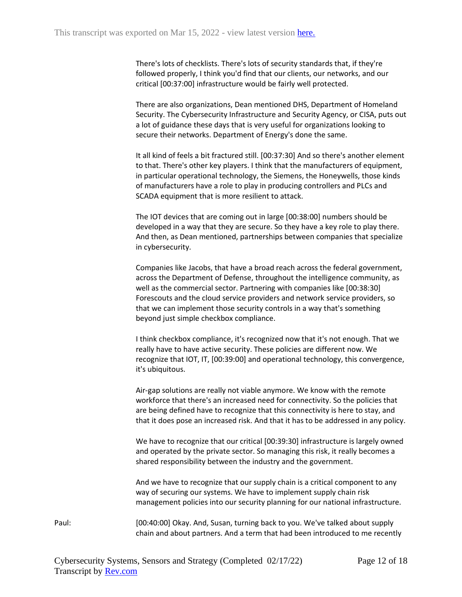There's lots of checklists. There's lots of security standards that, if they're followed properly, I think you'd find that our clients, our networks, and our critical [00:37:00] infrastructure would be fairly well protected.

There are also organizations, Dean mentioned DHS, Department of Homeland Security. The Cybersecurity Infrastructure and Security Agency, or CISA, puts out a lot of guidance these days that is very useful for organizations looking to secure their networks. Department of Energy's done the same.

It all kind of feels a bit fractured still. [00:37:30] And so there's another element to that. There's other key players. I think that the manufacturers of equipment, in particular operational technology, the Siemens, the Honeywells, those kinds of manufacturers have a role to play in producing controllers and PLCs and SCADA equipment that is more resilient to attack.

The IOT devices that are coming out in large [00:38:00] numbers should be developed in a way that they are secure. So they have a key role to play there. And then, as Dean mentioned, partnerships between companies that specialize in cybersecurity.

Companies like Jacobs, that have a broad reach across the federal government, across the Department of Defense, throughout the intelligence community, as well as the commercial sector. Partnering with companies like [00:38:30] Forescouts and the cloud service providers and network service providers, so that we can implement those security controls in a way that's something beyond just simple checkbox compliance.

I think checkbox compliance, it's recognized now that it's not enough. That we really have to have active security. These policies are different now. We recognize that IOT, IT, [00:39:00] and operational technology, this convergence, it's ubiquitous.

Air-gap solutions are really not viable anymore. We know with the remote workforce that there's an increased need for connectivity. So the policies that are being defined have to recognize that this connectivity is here to stay, and that it does pose an increased risk. And that it has to be addressed in any policy.

We have to recognize that our critical [00:39:30] infrastructure is largely owned and operated by the private sector. So managing this risk, it really becomes a shared responsibility between the industry and the government.

And we have to recognize that our supply chain is a critical component to any way of securing our systems. We have to implement supply chain risk management policies into our security planning for our national infrastructure.

Paul: [00:40:00] Okay. And, Susan, turning back to you. We've talked about supply chain and about partners. And a term that had been introduced to me recently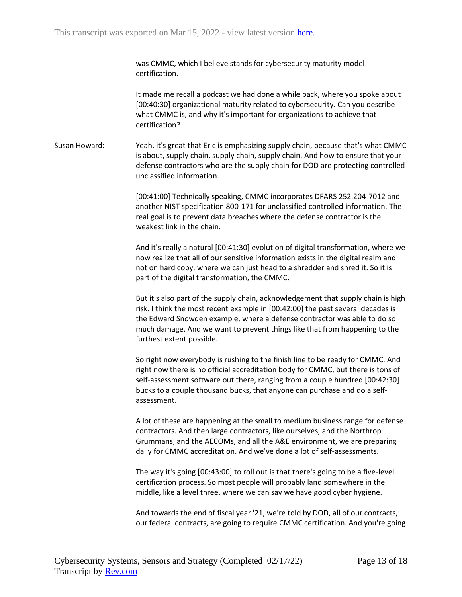was CMMC, which I believe stands for cybersecurity maturity model certification.

It made me recall a podcast we had done a while back, where you spoke about [00:40:30] organizational maturity related to cybersecurity. Can you describe what CMMC is, and why it's important for organizations to achieve that certification?

Susan Howard: Yeah, it's great that Eric is emphasizing supply chain, because that's what CMMC is about, supply chain, supply chain, supply chain. And how to ensure that your defense contractors who are the supply chain for DOD are protecting controlled unclassified information.

> [00:41:00] Technically speaking, CMMC incorporates DFARS 252.204-7012 and another NIST specification 800-171 for unclassified controlled information. The real goal is to prevent data breaches where the defense contractor is the weakest link in the chain.

And it's really a natural [00:41:30] evolution of digital transformation, where we now realize that all of our sensitive information exists in the digital realm and not on hard copy, where we can just head to a shredder and shred it. So it is part of the digital transformation, the CMMC.

But it's also part of the supply chain, acknowledgement that supply chain is high risk. I think the most recent example in [00:42:00] the past several decades is the Edward Snowden example, where a defense contractor was able to do so much damage. And we want to prevent things like that from happening to the furthest extent possible.

So right now everybody is rushing to the finish line to be ready for CMMC. And right now there is no official accreditation body for CMMC, but there is tons of self-assessment software out there, ranging from a couple hundred [00:42:30] bucks to a couple thousand bucks, that anyone can purchase and do a selfassessment.

A lot of these are happening at the small to medium business range for defense contractors. And then large contractors, like ourselves, and the Northrop Grummans, and the AECOMs, and all the A&E environment, we are preparing daily for CMMC accreditation. And we've done a lot of self-assessments.

The way it's going [00:43:00] to roll out is that there's going to be a five-level certification process. So most people will probably land somewhere in the middle, like a level three, where we can say we have good cyber hygiene.

And towards the end of fiscal year '21, we're told by DOD, all of our contracts, our federal contracts, are going to require CMMC certification. And you're going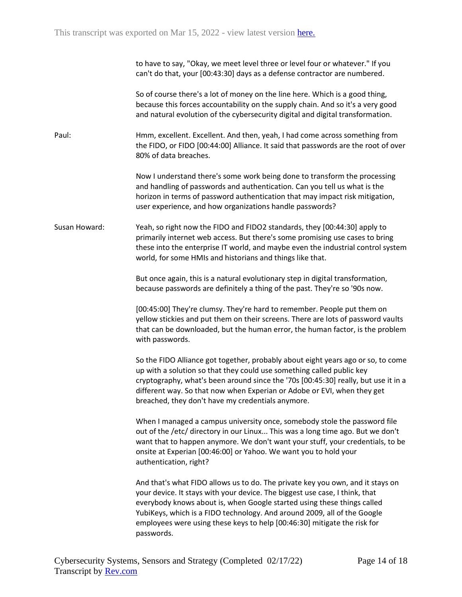| to have to say, "Okay, we meet level three or level four or whatever." If you |  |
|-------------------------------------------------------------------------------|--|
| can't do that, your [00:43:30] days as a defense contractor are numbered.     |  |

So of course there's a lot of money on the line here. Which is a good thing, because this forces accountability on the supply chain. And so it's a very good and natural evolution of the cybersecurity digital and digital transformation.

Paul: Hmm, excellent. Excellent. And then, yeah, I had come across something from the FIDO, or FIDO [00:44:00] Alliance. It said that passwords are the root of over 80% of data breaches.

> Now I understand there's some work being done to transform the processing and handling of passwords and authentication. Can you tell us what is the horizon in terms of password authentication that may impact risk mitigation, user experience, and how organizations handle passwords?

Susan Howard: Yeah, so right now the FIDO and FIDO2 standards, they [00:44:30] apply to primarily internet web access. But there's some promising use cases to bring these into the enterprise IT world, and maybe even the industrial control system world, for some HMIs and historians and things like that.

> But once again, this is a natural evolutionary step in digital transformation, because passwords are definitely a thing of the past. They're so '90s now.

[00:45:00] They're clumsy. They're hard to remember. People put them on yellow stickies and put them on their screens. There are lots of password vaults that can be downloaded, but the human error, the human factor, is the problem with passwords.

So the FIDO Alliance got together, probably about eight years ago or so, to come up with a solution so that they could use something called public key cryptography, what's been around since the '70s [00:45:30] really, but use it in a different way. So that now when Experian or Adobe or EVI, when they get breached, they don't have my credentials anymore.

When I managed a campus university once, somebody stole the password file out of the /etc/ directory in our Linux... This was a long time ago. But we don't want that to happen anymore. We don't want your stuff, your credentials, to be onsite at Experian [00:46:00] or Yahoo. We want you to hold your authentication, right?

And that's what FIDO allows us to do. The private key you own, and it stays on your device. It stays with your device. The biggest use case, I think, that everybody knows about is, when Google started using these things called YubiKeys, which is a FIDO technology. And around 2009, all of the Google employees were using these keys to help [00:46:30] mitigate the risk for passwords.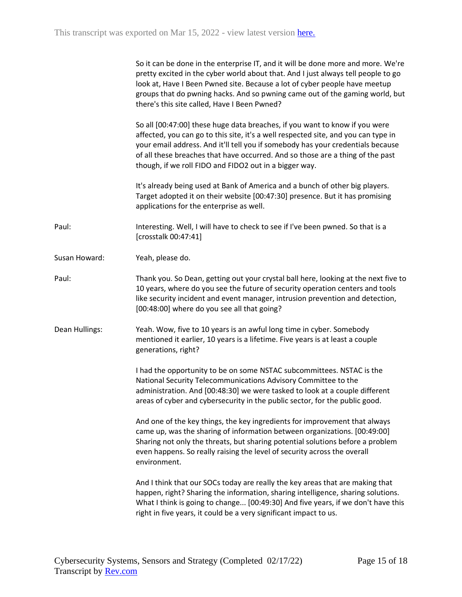|                | So it can be done in the enterprise IT, and it will be done more and more. We're<br>pretty excited in the cyber world about that. And I just always tell people to go<br>look at, Have I Been Pwned site. Because a lot of cyber people have meetup<br>groups that do pwning hacks. And so pwning came out of the gaming world, but<br>there's this site called, Have I Been Pwned?              |
|----------------|--------------------------------------------------------------------------------------------------------------------------------------------------------------------------------------------------------------------------------------------------------------------------------------------------------------------------------------------------------------------------------------------------|
|                | So all [00:47:00] these huge data breaches, if you want to know if you were<br>affected, you can go to this site, it's a well respected site, and you can type in<br>your email address. And it'll tell you if somebody has your credentials because<br>of all these breaches that have occurred. And so those are a thing of the past<br>though, if we roll FIDO and FIDO2 out in a bigger way. |
|                | It's already being used at Bank of America and a bunch of other big players.<br>Target adopted it on their website [00:47:30] presence. But it has promising<br>applications for the enterprise as well.                                                                                                                                                                                         |
| Paul:          | Interesting. Well, I will have to check to see if I've been pwned. So that is a<br>[crosstalk 00:47:41]                                                                                                                                                                                                                                                                                          |
| Susan Howard:  | Yeah, please do.                                                                                                                                                                                                                                                                                                                                                                                 |
| Paul:          | Thank you. So Dean, getting out your crystal ball here, looking at the next five to<br>10 years, where do you see the future of security operation centers and tools<br>like security incident and event manager, intrusion prevention and detection,<br>[00:48:00] where do you see all that going?                                                                                             |
| Dean Hullings: | Yeah. Wow, five to 10 years is an awful long time in cyber. Somebody<br>mentioned it earlier, 10 years is a lifetime. Five years is at least a couple<br>generations, right?                                                                                                                                                                                                                     |
|                | I had the opportunity to be on some NSTAC subcommittees. NSTAC is the<br>National Security Telecommunications Advisory Committee to the<br>administration. And [00:48:30] we were tasked to look at a couple different<br>areas of cyber and cybersecurity in the public sector, for the public good.                                                                                            |
|                | And one of the key things, the key ingredients for improvement that always<br>came up, was the sharing of information between organizations. [00:49:00]<br>Sharing not only the threats, but sharing potential solutions before a problem<br>even happens. So really raising the level of security across the overall<br>environment.                                                            |
|                | And I think that our SOCs today are really the key areas that are making that<br>happen, right? Sharing the information, sharing intelligence, sharing solutions.<br>What I think is going to change [00:49:30] And five years, if we don't have this<br>right in five years, it could be a very significant impact to us.                                                                       |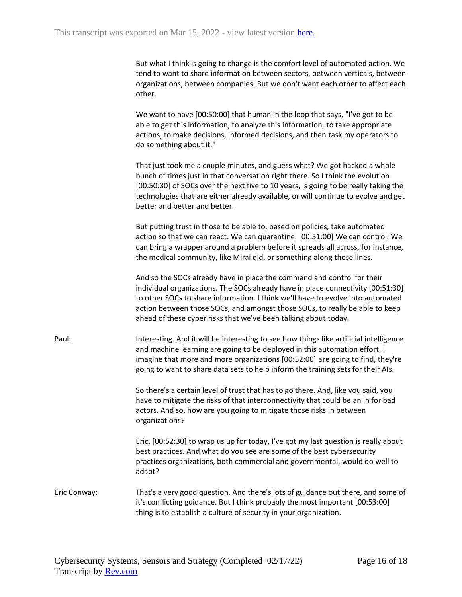But what I think is going to change is the comfort level of automated action. We tend to want to share information between sectors, between verticals, between organizations, between companies. But we don't want each other to affect each other.

We want to have [00:50:00] that human in the loop that says, "I've got to be able to get this information, to analyze this information, to take appropriate actions, to make decisions, informed decisions, and then task my operators to do something about it."

That just took me a couple minutes, and guess what? We got hacked a whole bunch of times just in that conversation right there. So I think the evolution [00:50:30] of SOCs over the next five to 10 years, is going to be really taking the technologies that are either already available, or will continue to evolve and get better and better and better.

But putting trust in those to be able to, based on policies, take automated action so that we can react. We can quarantine. [00:51:00] We can control. We can bring a wrapper around a problem before it spreads all across, for instance, the medical community, like Mirai did, or something along those lines.

And so the SOCs already have in place the command and control for their individual organizations. The SOCs already have in place connectivity [00:51:30] to other SOCs to share information. I think we'll have to evolve into automated action between those SOCs, and amongst those SOCs, to really be able to keep ahead of these cyber risks that we've been talking about today.

Paul: Interesting. And it will be interesting to see how things like artificial intelligence and machine learning are going to be deployed in this automation effort. I imagine that more and more organizations [00:52:00] are going to find, they're going to want to share data sets to help inform the training sets for their AIs.

> So there's a certain level of trust that has to go there. And, like you said, you have to mitigate the risks of that interconnectivity that could be an in for bad actors. And so, how are you going to mitigate those risks in between organizations?

Eric, [00:52:30] to wrap us up for today, I've got my last question is really about best practices. And what do you see are some of the best cybersecurity practices organizations, both commercial and governmental, would do well to adapt?

Eric Conway: That's a very good question. And there's lots of guidance out there, and some of it's conflicting guidance. But I think probably the most important [00:53:00] thing is to establish a culture of security in your organization.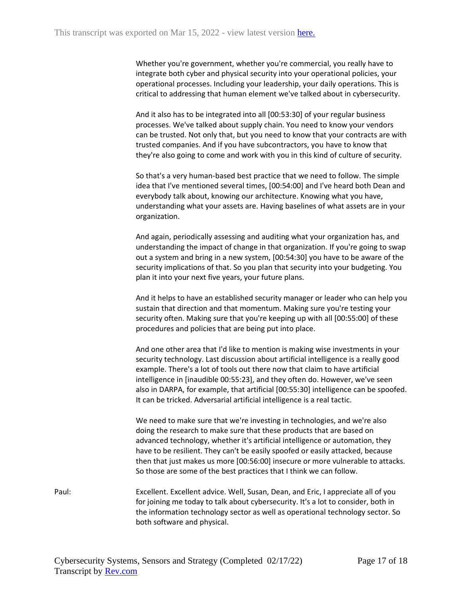Whether you're government, whether you're commercial, you really have to integrate both cyber and physical security into your operational policies, your operational processes. Including your leadership, your daily operations. This is critical to addressing that human element we've talked about in cybersecurity.

And it also has to be integrated into all [00:53:30] of your regular business processes. We've talked about supply chain. You need to know your vendors can be trusted. Not only that, but you need to know that your contracts are with trusted companies. And if you have subcontractors, you have to know that they're also going to come and work with you in this kind of culture of security.

So that's a very human-based best practice that we need to follow. The simple idea that I've mentioned several times, [00:54:00] and I've heard both Dean and everybody talk about, knowing our architecture. Knowing what you have, understanding what your assets are. Having baselines of what assets are in your organization.

And again, periodically assessing and auditing what your organization has, and understanding the impact of change in that organization. If you're going to swap out a system and bring in a new system, [00:54:30] you have to be aware of the security implications of that. So you plan that security into your budgeting. You plan it into your next five years, your future plans.

And it helps to have an established security manager or leader who can help you sustain that direction and that momentum. Making sure you're testing your security often. Making sure that you're keeping up with all [00:55:00] of these procedures and policies that are being put into place.

And one other area that I'd like to mention is making wise investments in your security technology. Last discussion about artificial intelligence is a really good example. There's a lot of tools out there now that claim to have artificial intelligence in [inaudible 00:55:23], and they often do. However, we've seen also in DARPA, for example, that artificial [00:55:30] intelligence can be spoofed. It can be tricked. Adversarial artificial intelligence is a real tactic.

We need to make sure that we're investing in technologies, and we're also doing the research to make sure that these products that are based on advanced technology, whether it's artificial intelligence or automation, they have to be resilient. They can't be easily spoofed or easily attacked, because then that just makes us more [00:56:00] insecure or more vulnerable to attacks. So those are some of the best practices that I think we can follow.

Paul: Excellent. Excellent advice. Well, Susan, Dean, and Eric, I appreciate all of you for joining me today to talk about cybersecurity. It's a lot to consider, both in the information technology sector as well as operational technology sector. So both software and physical.